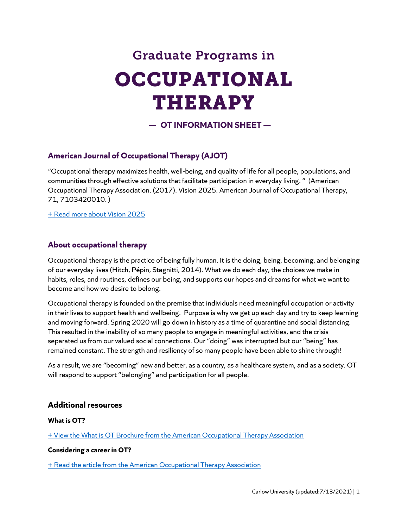# Graduate Programs in OCCUPATIONAL THERAPY

— **OT INFORMATION SHEET —**

# **American Journal of Occupational Therapy (AJOT)**

"Occupational therapy maximizes health, well-being, and quality of life for all people, populations, and communities through effective solutions that facilitate participation in everyday living. " (American Occupational Therapy Association. (2017). Vision 2025. American Journal of Occupational Therapy, 71, 7103420010. )

[+ Read more about Vision 2025](https://doi.org/10.5014/ajot.2017.713002)

# **About occupational therapy**

Occupational therapy is the practice of being fully human. It is the doing, being, becoming, and belonging of our everyday lives (Hitch, Pépin, Stagnitti, 2014). What we do each day, the choices we make in habits, roles, and routines, defines our being, and supports our hopes and dreams for what we want to become and how we desire to belong.

Occupational therapy is founded on the premise that individuals need meaningful occupation or activity in their lives to support health and wellbeing. Purpose is why we get up each day and try to keep learning and moving forward. Spring 2020 will go down in history as a time of quarantine and social distancing. This resulted in the inability of so many people to engage in meaningful activities, and the crisis separated us from our valued social connections. Our "doing" was interrupted but our "being" has remained constant. The strength and resiliency of so many people have been able to shine through!

As a result, we are "becoming" new and better, as a country, as a healthcare system, and as a society. OT will respond to support "belonging" and participation for all people.

## **Additional resources**

## **What is OT?**

[+ View the What is OT Brochure from the American Occupational Therapy Association](https://www.aota.org/%7E/media/Corporate/Files/Practice/Manage/Presentation-Resources/Brochure/What-Is-OT-brochure.pdf)

## **Considering a career in OT?**

[+ Read the article from the American Occupational Therapy Association](https://www.aota.org/Education-Careers/Considering-OT-Career.aspx)